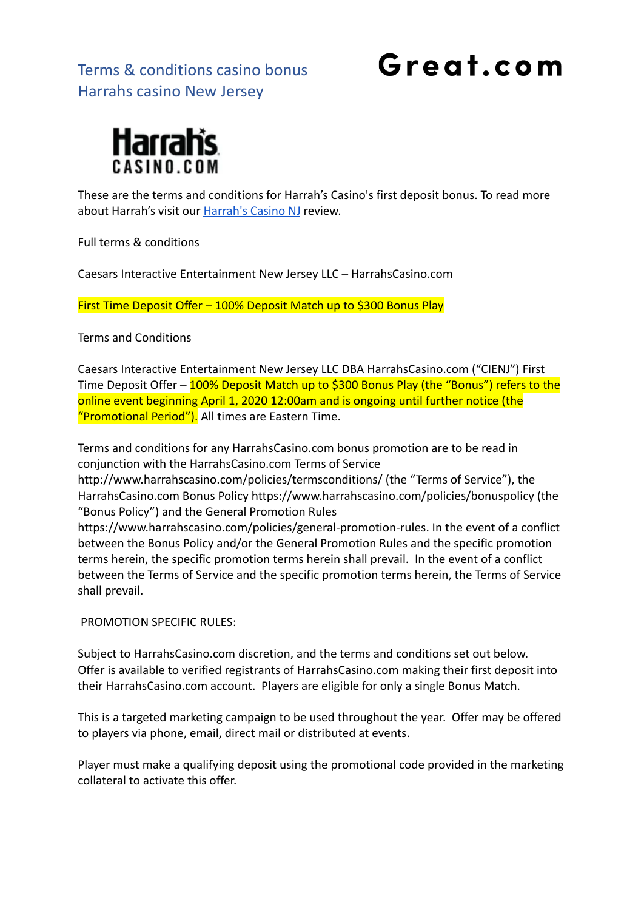### Great.com



These are the terms and conditions for Harrah's Casino's first deposit bonus. To read more about Harrah's visit our [Harrah's Casino NJ](https://great.com/en-us/online-casino/harrahs-online-casino-nj/) review.

Full terms & conditions

Caesars Interactive Entertainment New Jersey LLC – HarrahsCasino.com

First Time Deposit Offer – 100% Deposit Match up to \$300 Bonus Play

Terms and Conditions

Caesars Interactive Entertainment New Jersey LLC DBA HarrahsCasino.com ("CIENJ") First Time Deposit Offer – 100% Deposit Match up to \$300 Bonus Play (the "Bonus") refers to the online event beginning April 1, 2020 12:00am and is ongoing until further notice (the "Promotional Period"). All times are Eastern Time.

Terms and conditions for any HarrahsCasino.com bonus promotion are to be read in conjunction with the HarrahsCasino.com Terms of Service

http://www.harrahscasino.com/policies/termsconditions/ (the "Terms of Service"), the HarrahsCasino.com Bonus Policy https://www.harrahscasino.com/policies/bonuspolicy (the "Bonus Policy") and the General Promotion Rules

https://www.harrahscasino.com/policies/general-promotion-rules. In the event of a conflict between the Bonus Policy and/or the General Promotion Rules and the specific promotion terms herein, the specific promotion terms herein shall prevail. In the event of a conflict between the Terms of Service and the specific promotion terms herein, the Terms of Service shall prevail.

PROMOTION SPECIFIC RULES:

Subject to HarrahsCasino.com discretion, and the terms and conditions set out below. Offer is available to verified registrants of HarrahsCasino.com making their first deposit into their HarrahsCasino.com account. Players are eligible for only a single Bonus Match.

This is a targeted marketing campaign to be used throughout the year. Offer may be offered to players via phone, email, direct mail or distributed at events.

Player must make a qualifying deposit using the promotional code provided in the marketing collateral to activate this offer.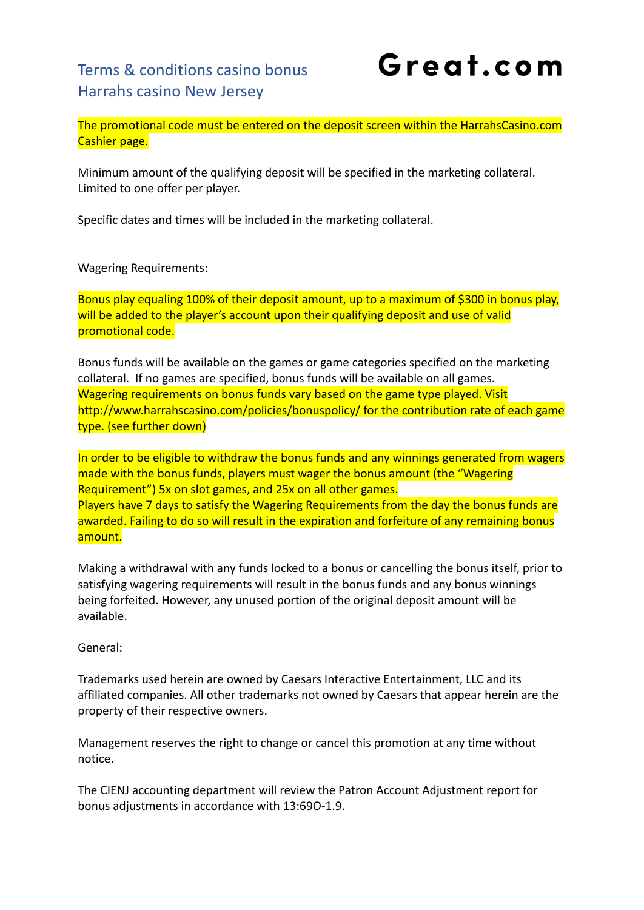# Great.com

The promotional code must be entered on the deposit screen within the HarrahsCasino.com Cashier page.

Minimum amount of the qualifying deposit will be specified in the marketing collateral. Limited to one offer per player.

Specific dates and times will be included in the marketing collateral.

Wagering Requirements:

Bonus play equaling 100% of their deposit amount, up to a maximum of \$300 in bonus play, will be added to the player's account upon their qualifying deposit and use of valid promotional code.

Bonus funds will be available on the games or game categories specified on the marketing collateral. If no games are specified, bonus funds will be available on all games. Wagering requirements on bonus funds vary based on the game type played. Visit http://www.harrahscasino.com/policies/bonuspolicy/ for the contribution rate of each game type. (see further down)

In order to be eligible to withdraw the bonus funds and any winnings generated from wagers made with the bonus funds, players must wager the bonus amount (the "Wagering Requirement") 5x on slot games, and 25x on all other games. Players have 7 days to satisfy the Wagering Requirements from the day the bonus funds are awarded. Failing to do so will result in the expiration and forfeiture of any remaining bonus amount.

Making a withdrawal with any funds locked to a bonus or cancelling the bonus itself, prior to satisfying wagering requirements will result in the bonus funds and any bonus winnings being forfeited. However, any unused portion of the original deposit amount will be available.

General:

Trademarks used herein are owned by Caesars Interactive Entertainment, LLC and its affiliated companies. All other trademarks not owned by Caesars that appear herein are the property of their respective owners.

Management reserves the right to change or cancel this promotion at any time without notice.

The CIENJ accounting department will review the Patron Account Adjustment report for bonus adjustments in accordance with 13:69O-1.9.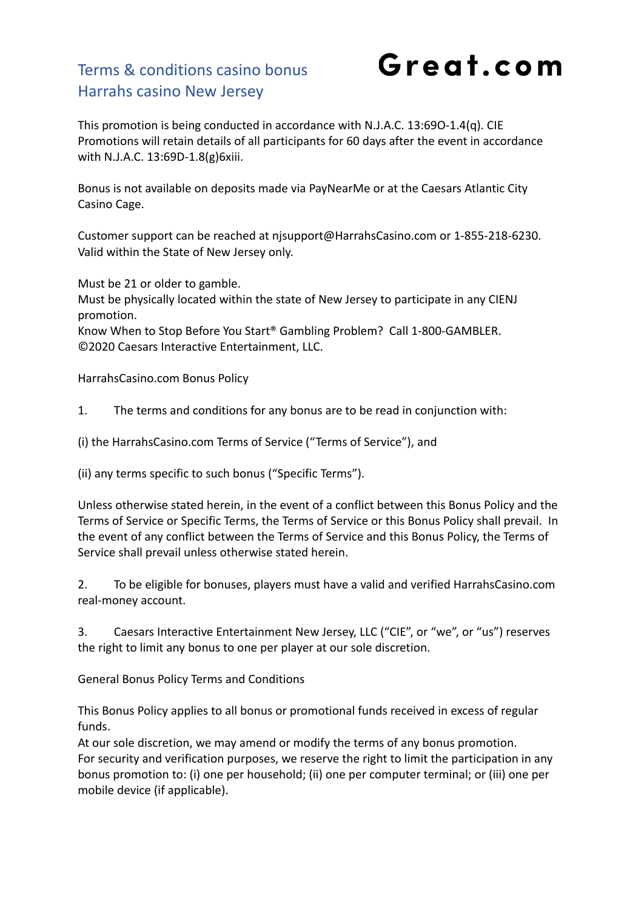Great.com

This promotion is being conducted in accordance with N.J.A.C. 13:69O-1.4(q). CIE Promotions will retain details of all participants for 60 days after the event in accordance with N.J.A.C. 13:69D-1.8(g)6xiii.

Bonus is not available on deposits made via PayNearMe or at the Caesars Atlantic City Casino Cage.

Customer support can be reached at njsupport@HarrahsCasino.com or 1-855-218-6230. Valid within the State of New Jersey only.

Must be 21 or older to gamble.

Must be physically located within the state of New Jersey to participate in any CIENJ promotion.

Know When to Stop Before You Start® Gambling Problem? Call 1-800-GAMBLER. ©2020 Caesars Interactive Entertainment, LLC.

HarrahsCasino.com Bonus Policy

1. The terms and conditions for any bonus are to be read in conjunction with:

(i) the HarrahsCasino.com Terms of Service ("Terms of Service"), and

(ii) any terms specific to such bonus ("Specific Terms").

Unless otherwise stated herein, in the event of a conflict between this Bonus Policy and the Terms of Service or Specific Terms, the Terms of Service or this Bonus Policy shall prevail. In the event of any conflict between the Terms of Service and this Bonus Policy, the Terms of Service shall prevail unless otherwise stated herein.

2. To be eligible for bonuses, players must have a valid and verified HarrahsCasino.com real-money account.

3. Caesars Interactive Entertainment New Jersey, LLC ("CIE", or "we", or "us") reserves the right to limit any bonus to one per player at our sole discretion.

General Bonus Policy Terms and Conditions

This Bonus Policy applies to all bonus or promotional funds received in excess of regular funds.

At our sole discretion, we may amend or modify the terms of any bonus promotion. For security and verification purposes, we reserve the right to limit the participation in any bonus promotion to: (i) one per household; (ii) one per computer terminal; or (iii) one per mobile device (if applicable).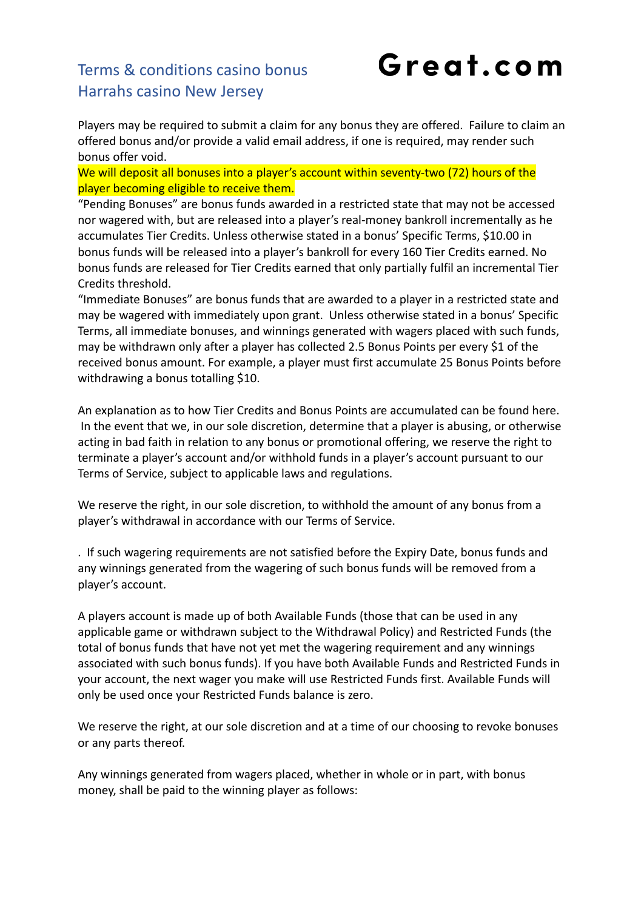# Great.com

Players may be required to submit a claim for any bonus they are offered. Failure to claim an offered bonus and/or provide a valid email address, if one is required, may render such bonus offer void.

We will deposit all bonuses into a player's account within seventy-two (72) hours of the player becoming eligible to receive them.

"Pending Bonuses" are bonus funds awarded in a restricted state that may not be accessed nor wagered with, but are released into a player's real-money bankroll incrementally as he accumulates Tier Credits. Unless otherwise stated in a bonus' Specific Terms, \$10.00 in bonus funds will be released into a player's bankroll for every 160 Tier Credits earned. No bonus funds are released for Tier Credits earned that only partially fulfil an incremental Tier Credits threshold.

"Immediate Bonuses" are bonus funds that are awarded to a player in a restricted state and may be wagered with immediately upon grant. Unless otherwise stated in a bonus' Specific Terms, all immediate bonuses, and winnings generated with wagers placed with such funds, may be withdrawn only after a player has collected 2.5 Bonus Points per every \$1 of the received bonus amount. For example, a player must first accumulate 25 Bonus Points before withdrawing a bonus totalling \$10.

An explanation as to how Tier Credits and Bonus Points are accumulated can be found here. In the event that we, in our sole discretion, determine that a player is abusing, or otherwise acting in bad faith in relation to any bonus or promotional offering, we reserve the right to terminate a player's account and/or withhold funds in a player's account pursuant to our Terms of Service, subject to applicable laws and regulations.

We reserve the right, in our sole discretion, to withhold the amount of any bonus from a player's withdrawal in accordance with our Terms of Service.

. If such wagering requirements are not satisfied before the Expiry Date, bonus funds and any winnings generated from the wagering of such bonus funds will be removed from a player's account.

A players account is made up of both Available Funds (those that can be used in any applicable game or withdrawn subject to the Withdrawal Policy) and Restricted Funds (the total of bonus funds that have not yet met the wagering requirement and any winnings associated with such bonus funds). If you have both Available Funds and Restricted Funds in your account, the next wager you make will use Restricted Funds first. Available Funds will only be used once your Restricted Funds balance is zero.

We reserve the right, at our sole discretion and at a time of our choosing to revoke bonuses or any parts thereof.

Any winnings generated from wagers placed, whether in whole or in part, with bonus money, shall be paid to the winning player as follows: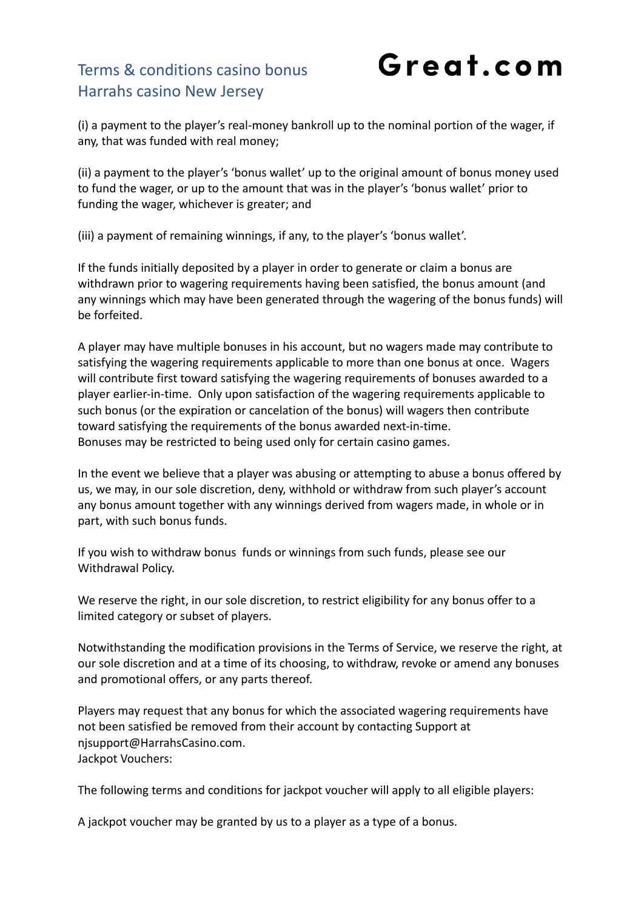Great.com

(i) a payment to the player's real-money bankroll up to the nominal portion of the wager, if any, that was funded with real money;

(ii) a payment to the player's 'bonus wallet' up to the original amount of bonus money used to fund the wager, or up to the amount that was in the player's 'bonus wallet' prior to funding the wager, whichever is greater; and

(iii) a payment of remaining winnings, if any, to the player's 'bonus wallet'.

If the funds initially deposited by a player in order to generate or claim a bonus are withdrawn prior to wagering requirements having been satisfied, the bonus amount (and any winnings which may have been generated through the wagering of the bonus funds) will be forfeited.

A player may have multiple bonuses in his account, but no wagers made may contribute to satisfying the wagering requirements applicable to more than one bonus at once. Wagers will contribute first toward satisfying the wagering requirements of bonuses awarded to a player earlier-in-time. Only upon satisfaction of the wagering requirements applicable to such bonus (or the expiration or cancelation of the bonus) will wagers then contribute toward satisfying the requirements of the bonus awarded next-in-time. Bonuses may be restricted to being used only for certain casino games.

In the event we believe that a player was abusing or attempting to abuse a bonus offered by us, we may, in our sole discretion, deny, withhold or withdraw from such player's account any bonus amount together with any winnings derived from wagers made, in whole or in part, with such bonus funds.

If you wish to withdraw bonus funds or winnings from such funds, please see our Withdrawal Policy.

We reserve the right, in our sole discretion, to restrict eligibility for any bonus offer to a limited category or subset of players.

Notwithstanding the modification provisions in the Terms of Service, we reserve the right, at our sole discretion and at a time of its choosing, to withdraw, revoke or amend any bonuses and promotional offers, or any parts thereof.

Players may request that any bonus for which the associated wagering requirements have not been satisfied be removed from their account by contacting Support at njsupport@HarrahsCasino.com. Jackpot Vouchers:

The following terms and conditions for jackpot voucher will apply to all eligible players:

A jackpot voucher may be granted by us to a player as a type of a bonus.